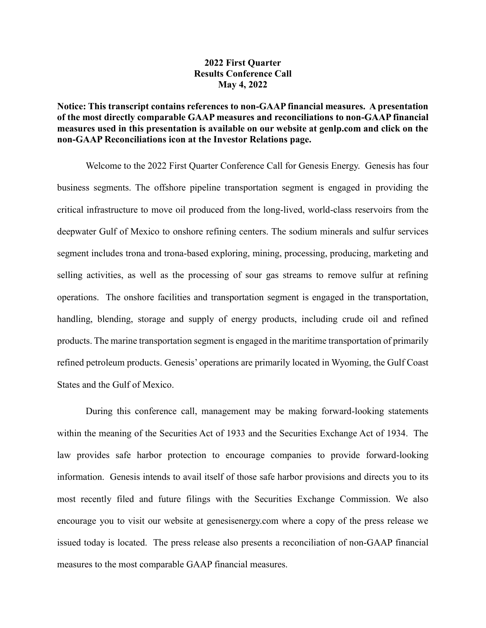## **2022 First Quarter Results Conference Call May 4, 2022**

## **Notice: This transcript contains references to non-GAAP financial measures. A presentation of the most directly comparable GAAP measures and reconciliations to non-GAAP financial measures used in this presentation is available on our website at genlp.com and click on the non-GAAP Reconciliations icon at the Investor Relations page.**

Welcome to the 2022 First Quarter Conference Call for Genesis Energy. Genesis has four business segments. The offshore pipeline transportation segment is engaged in providing the critical infrastructure to move oil produced from the long-lived, world-class reservoirs from the deepwater Gulf of Mexico to onshore refining centers. The sodium minerals and sulfur services segment includes trona and trona-based exploring, mining, processing, producing, marketing and selling activities, as well as the processing of sour gas streams to remove sulfur at refining operations. The onshore facilities and transportation segment is engaged in the transportation, handling, blending, storage and supply of energy products, including crude oil and refined products. The marine transportation segment is engaged in the maritime transportation of primarily refined petroleum products. Genesis' operations are primarily located in Wyoming, the Gulf Coast States and the Gulf of Mexico.

During this conference call, management may be making forward-looking statements within the meaning of the Securities Act of 1933 and the Securities Exchange Act of 1934. The law provides safe harbor protection to encourage companies to provide forward-looking information. Genesis intends to avail itself of those safe harbor provisions and directs you to its most recently filed and future filings with the Securities Exchange Commission. We also encourage you to visit our website at genesisenergy.com where a copy of the press release we issued today is located. The press release also presents a reconciliation of non-GAAP financial measures to the most comparable GAAP financial measures.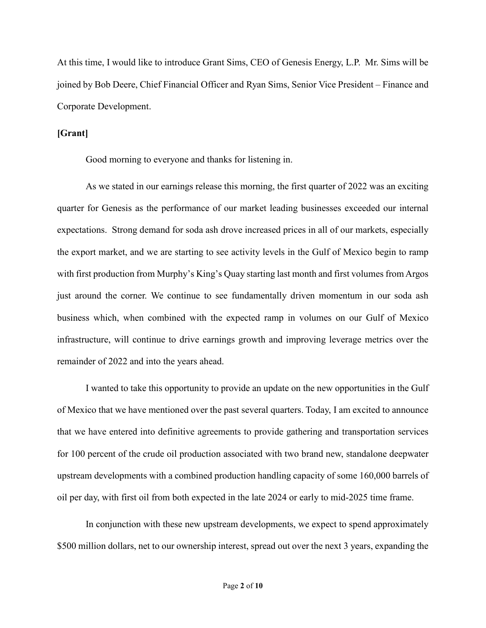At this time, I would like to introduce Grant Sims, CEO of Genesis Energy, L.P. Mr. Sims will be joined by Bob Deere, Chief Financial Officer and Ryan Sims, Senior Vice President – Finance and Corporate Development.

## **[Grant]**

Good morning to everyone and thanks for listening in.

As we stated in our earnings release this morning, the first quarter of 2022 was an exciting quarter for Genesis as the performance of our market leading businesses exceeded our internal expectations. Strong demand for soda ash drove increased prices in all of our markets, especially the export market, and we are starting to see activity levels in the Gulf of Mexico begin to ramp with first production from Murphy's King's Quay starting last month and first volumes from Argos just around the corner. We continue to see fundamentally driven momentum in our soda ash business which, when combined with the expected ramp in volumes on our Gulf of Mexico infrastructure, will continue to drive earnings growth and improving leverage metrics over the remainder of 2022 and into the years ahead.

I wanted to take this opportunity to provide an update on the new opportunities in the Gulf of Mexico that we have mentioned over the past several quarters. Today, I am excited to announce that we have entered into definitive agreements to provide gathering and transportation services for 100 percent of the crude oil production associated with two brand new, standalone deepwater upstream developments with a combined production handling capacity of some 160,000 barrels of oil per day, with first oil from both expected in the late 2024 or early to mid-2025 time frame.

In conjunction with these new upstream developments, we expect to spend approximately \$500 million dollars, net to our ownership interest, spread out over the next 3 years, expanding the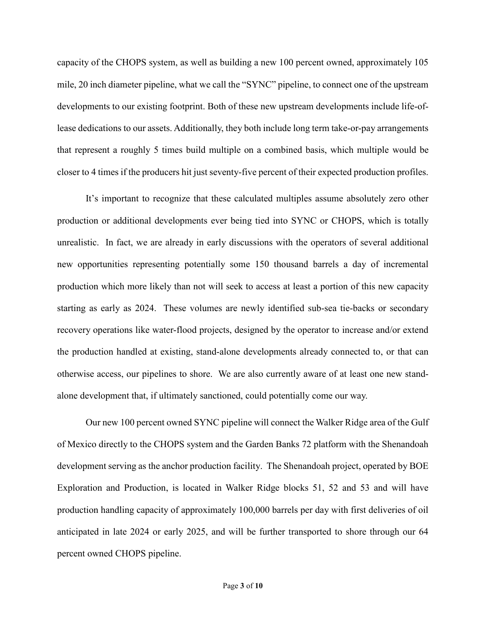capacity of the CHOPS system, as well as building a new 100 percent owned, approximately 105 mile, 20 inch diameter pipeline, what we call the "SYNC" pipeline, to connect one of the upstream developments to our existing footprint. Both of these new upstream developments include life-oflease dedications to our assets. Additionally, they both include long term take-or-pay arrangements that represent a roughly 5 times build multiple on a combined basis, which multiple would be closer to 4 times if the producers hit just seventy-five percent of their expected production profiles.

It's important to recognize that these calculated multiples assume absolutely zero other production or additional developments ever being tied into SYNC or CHOPS, which is totally unrealistic. In fact, we are already in early discussions with the operators of several additional new opportunities representing potentially some 150 thousand barrels a day of incremental production which more likely than not will seek to access at least a portion of this new capacity starting as early as 2024. These volumes are newly identified sub-sea tie-backs or secondary recovery operations like water-flood projects, designed by the operator to increase and/or extend the production handled at existing, stand-alone developments already connected to, or that can otherwise access, our pipelines to shore. We are also currently aware of at least one new standalone development that, if ultimately sanctioned, could potentially come our way.

Our new 100 percent owned SYNC pipeline will connect the Walker Ridge area of the Gulf of Mexico directly to the CHOPS system and the Garden Banks 72 platform with the Shenandoah development serving as the anchor production facility. The Shenandoah project, operated by BOE Exploration and Production, is located in Walker Ridge blocks 51, 52 and 53 and will have production handling capacity of approximately 100,000 barrels per day with first deliveries of oil anticipated in late 2024 or early 2025, and will be further transported to shore through our 64 percent owned CHOPS pipeline.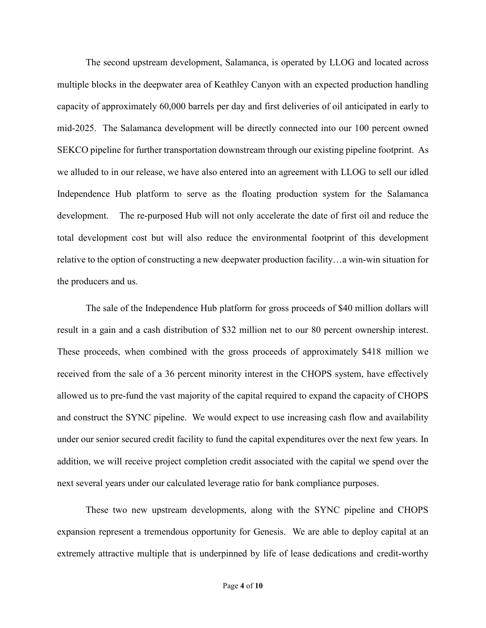The second upstream development, Salamanca, is operated by LLOG and located across multiple blocks in the deepwater area of Keathley Canyon with an expected production handling capacity of approximately 60,000 barrels per day and first deliveries of oil anticipated in early to mid-2025. The Salamanca development will be directly connected into our 100 percent owned SEKCO pipeline for further transportation downstream through our existing pipeline footprint. As we alluded to in our release, we have also entered into an agreement with LLOG to sell our idled Independence Hub platform to serve as the floating production system for the Salamanca development. The re-purposed Hub will not only accelerate the date of first oil and reduce the total development cost but will also reduce the environmental footprint of this development relative to the option of constructing a new deepwater production facility…a win-win situation for the producers and us.

The sale of the Independence Hub platform for gross proceeds of \$40 million dollars will result in a gain and a cash distribution of \$32 million net to our 80 percent ownership interest. These proceeds, when combined with the gross proceeds of approximately \$418 million we received from the sale of a 36 percent minority interest in the CHOPS system, have effectively allowed us to pre-fund the vast majority of the capital required to expand the capacity of CHOPS and construct the SYNC pipeline. We would expect to use increasing cash flow and availability under our senior secured credit facility to fund the capital expenditures over the next few years. In addition, we will receive project completion credit associated with the capital we spend over the next several years under our calculated leverage ratio for bank compliance purposes.

These two new upstream developments, along with the SYNC pipeline and CHOPS expansion represent a tremendous opportunity for Genesis. We are able to deploy capital at an extremely attractive multiple that is underpinned by life of lease dedications and credit-worthy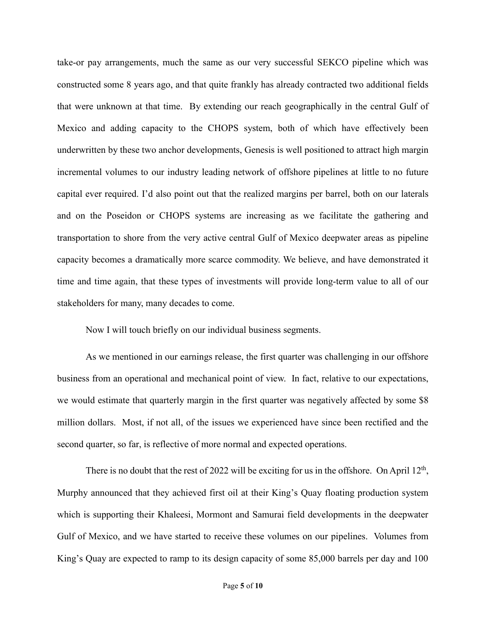take-or pay arrangements, much the same as our very successful SEKCO pipeline which was constructed some 8 years ago, and that quite frankly has already contracted two additional fields that were unknown at that time. By extending our reach geographically in the central Gulf of Mexico and adding capacity to the CHOPS system, both of which have effectively been underwritten by these two anchor developments, Genesis is well positioned to attract high margin incremental volumes to our industry leading network of offshore pipelines at little to no future capital ever required. I'd also point out that the realized margins per barrel, both on our laterals and on the Poseidon or CHOPS systems are increasing as we facilitate the gathering and transportation to shore from the very active central Gulf of Mexico deepwater areas as pipeline capacity becomes a dramatically more scarce commodity. We believe, and have demonstrated it time and time again, that these types of investments will provide long-term value to all of our stakeholders for many, many decades to come.

Now I will touch briefly on our individual business segments.

As we mentioned in our earnings release, the first quarter was challenging in our offshore business from an operational and mechanical point of view. In fact, relative to our expectations, we would estimate that quarterly margin in the first quarter was negatively affected by some \$8 million dollars. Most, if not all, of the issues we experienced have since been rectified and the second quarter, so far, is reflective of more normal and expected operations.

There is no doubt that the rest of 2022 will be exciting for us in the offshore. On April  $12<sup>th</sup>$ , Murphy announced that they achieved first oil at their King's Quay floating production system which is supporting their Khaleesi, Mormont and Samurai field developments in the deepwater Gulf of Mexico, and we have started to receive these volumes on our pipelines. Volumes from King's Quay are expected to ramp to its design capacity of some 85,000 barrels per day and 100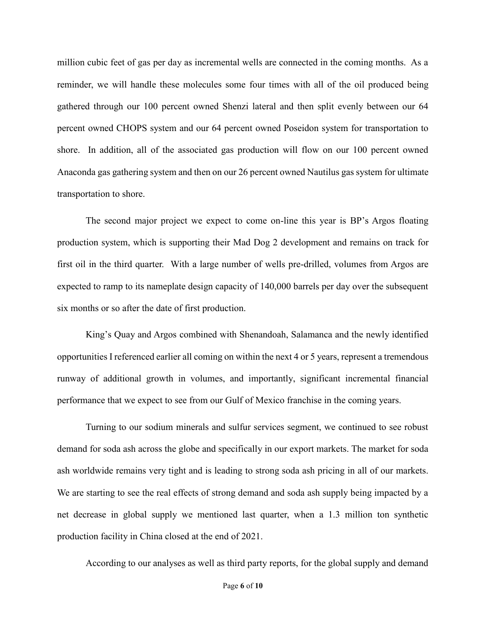million cubic feet of gas per day as incremental wells are connected in the coming months. As a reminder, we will handle these molecules some four times with all of the oil produced being gathered through our 100 percent owned Shenzi lateral and then split evenly between our 64 percent owned CHOPS system and our 64 percent owned Poseidon system for transportation to shore. In addition, all of the associated gas production will flow on our 100 percent owned Anaconda gas gathering system and then on our 26 percent owned Nautilus gas system for ultimate transportation to shore.

The second major project we expect to come on-line this year is BP's Argos floating production system, which is supporting their Mad Dog 2 development and remains on track for first oil in the third quarter. With a large number of wells pre-drilled, volumes from Argos are expected to ramp to its nameplate design capacity of 140,000 barrels per day over the subsequent six months or so after the date of first production.

King's Quay and Argos combined with Shenandoah, Salamanca and the newly identified opportunities I referenced earlier all coming on within the next 4 or 5 years, represent a tremendous runway of additional growth in volumes, and importantly, significant incremental financial performance that we expect to see from our Gulf of Mexico franchise in the coming years.

Turning to our sodium minerals and sulfur services segment, we continued to see robust demand for soda ash across the globe and specifically in our export markets. The market for soda ash worldwide remains very tight and is leading to strong soda ash pricing in all of our markets. We are starting to see the real effects of strong demand and soda ash supply being impacted by a net decrease in global supply we mentioned last quarter, when a 1.3 million ton synthetic production facility in China closed at the end of 2021.

According to our analyses as well as third party reports, for the global supply and demand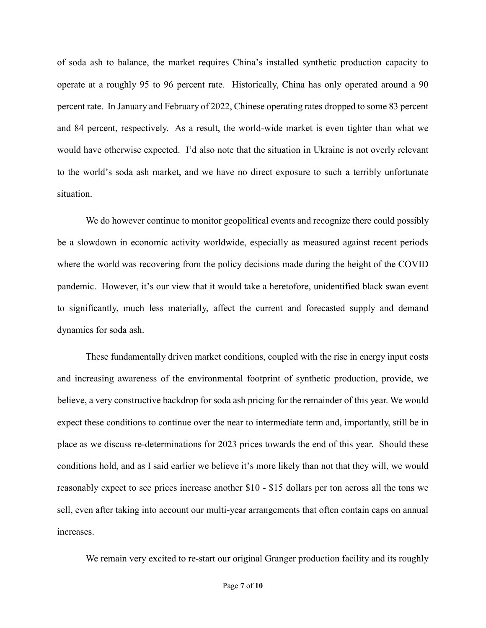of soda ash to balance, the market requires China's installed synthetic production capacity to operate at a roughly 95 to 96 percent rate. Historically, China has only operated around a 90 percent rate. In January and February of 2022, Chinese operating rates dropped to some 83 percent and 84 percent, respectively. As a result, the world-wide market is even tighter than what we would have otherwise expected. I'd also note that the situation in Ukraine is not overly relevant to the world's soda ash market, and we have no direct exposure to such a terribly unfortunate situation.

We do however continue to monitor geopolitical events and recognize there could possibly be a slowdown in economic activity worldwide, especially as measured against recent periods where the world was recovering from the policy decisions made during the height of the COVID pandemic. However, it's our view that it would take a heretofore, unidentified black swan event to significantly, much less materially, affect the current and forecasted supply and demand dynamics for soda ash.

These fundamentally driven market conditions, coupled with the rise in energy input costs and increasing awareness of the environmental footprint of synthetic production, provide, we believe, a very constructive backdrop for soda ash pricing for the remainder of this year. We would expect these conditions to continue over the near to intermediate term and, importantly, still be in place as we discuss re-determinations for 2023 prices towards the end of this year. Should these conditions hold, and as I said earlier we believe it's more likely than not that they will, we would reasonably expect to see prices increase another \$10 - \$15 dollars per ton across all the tons we sell, even after taking into account our multi-year arrangements that often contain caps on annual increases.

We remain very excited to re-start our original Granger production facility and its roughly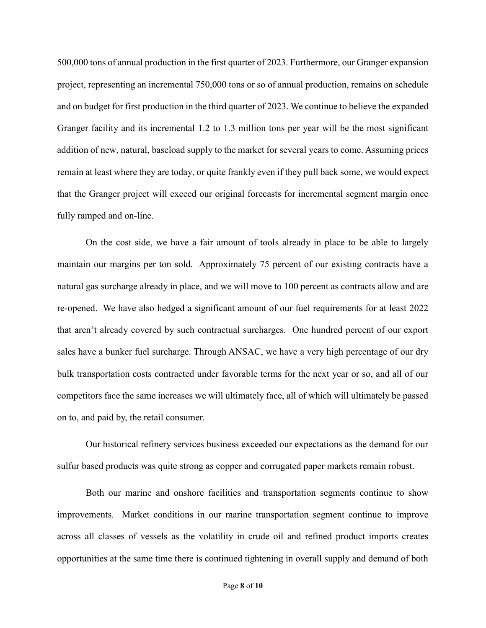500,000 tons of annual production in the first quarter of 2023. Furthermore, our Granger expansion project, representing an incremental 750,000 tons or so of annual production, remains on schedule and on budget for first production in the third quarter of 2023. We continue to believe the expanded Granger facility and its incremental 1.2 to 1.3 million tons per year will be the most significant addition of new, natural, baseload supply to the market for several years to come. Assuming prices remain at least where they are today, or quite frankly even if they pull back some, we would expect that the Granger project will exceed our original forecasts for incremental segment margin once fully ramped and on-line.

On the cost side, we have a fair amount of tools already in place to be able to largely maintain our margins per ton sold. Approximately 75 percent of our existing contracts have a natural gas surcharge already in place, and we will move to 100 percent as contracts allow and are re-opened. We have also hedged a significant amount of our fuel requirements for at least 2022 that aren't already covered by such contractual surcharges. One hundred percent of our export sales have a bunker fuel surcharge. Through ANSAC, we have a very high percentage of our dry bulk transportation costs contracted under favorable terms for the next year or so, and all of our competitors face the same increases we will ultimately face, all of which will ultimately be passed on to, and paid by, the retail consumer.

Our historical refinery services business exceeded our expectations as the demand for our sulfur based products was quite strong as copper and corrugated paper markets remain robust.

Both our marine and onshore facilities and transportation segments continue to show improvements. Market conditions in our marine transportation segment continue to improve across all classes of vessels as the volatility in crude oil and refined product imports creates opportunities at the same time there is continued tightening in overall supply and demand of both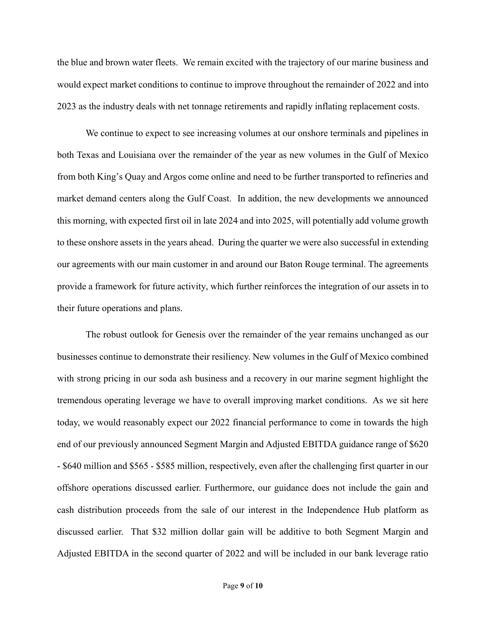the blue and brown water fleets. We remain excited with the trajectory of our marine business and would expect market conditions to continue to improve throughout the remainder of 2022 and into 2023 as the industry deals with net tonnage retirements and rapidly inflating replacement costs.

We continue to expect to see increasing volumes at our onshore terminals and pipelines in both Texas and Louisiana over the remainder of the year as new volumes in the Gulf of Mexico from both King's Quay and Argos come online and need to be further transported to refineries and market demand centers along the Gulf Coast. In addition, the new developments we announced this morning, with expected first oil in late 2024 and into 2025, will potentially add volume growth to these onshore assets in the years ahead. During the quarter we were also successful in extending our agreements with our main customer in and around our Baton Rouge terminal. The agreements provide a framework for future activity, which further reinforces the integration of our assets in to their future operations and plans.

The robust outlook for Genesis over the remainder of the year remains unchanged as our businesses continue to demonstrate their resiliency. New volumes in the Gulf of Mexico combined with strong pricing in our soda ash business and a recovery in our marine segment highlight the tremendous operating leverage we have to overall improving market conditions. As we sit here today, we would reasonably expect our 2022 financial performance to come in towards the high end of our previously announced Segment Margin and Adjusted EBITDA guidance range of \$620 - \$640 million and \$565 - \$585 million, respectively, even after the challenging first quarter in our offshore operations discussed earlier. Furthermore, our guidance does not include the gain and cash distribution proceeds from the sale of our interest in the Independence Hub platform as discussed earlier. That \$32 million dollar gain will be additive to both Segment Margin and Adjusted EBITDA in the second quarter of 2022 and will be included in our bank leverage ratio